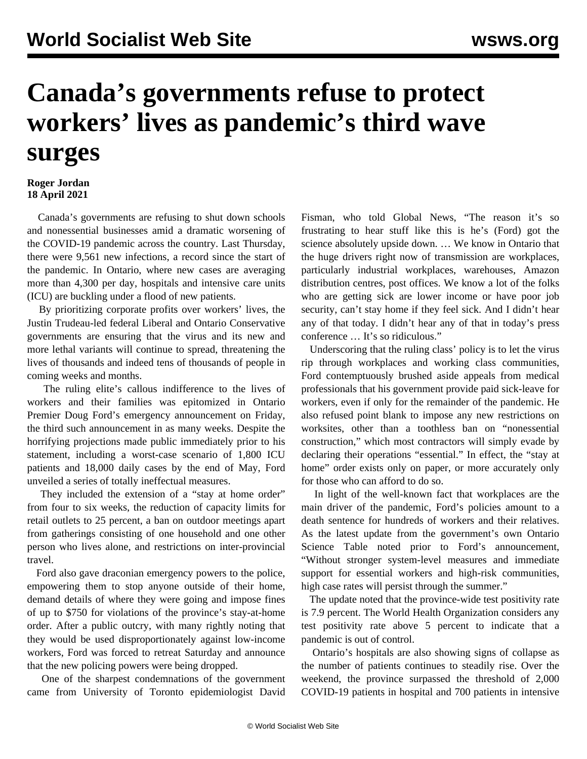## **Canada's governments refuse to protect workers' lives as pandemic's third wave surges**

## **Roger Jordan 18 April 2021**

 Canada's governments are refusing to shut down schools and nonessential businesses amid a dramatic worsening of the COVID-19 pandemic across the country. Last Thursday, there were 9,561 new infections, a record since the start of the pandemic. In Ontario, where new cases are averaging more than 4,300 per day, hospitals and intensive care units (ICU) are buckling under a flood of new patients.

 By prioritizing corporate profits over workers' lives, the Justin Trudeau-led federal Liberal and Ontario Conservative governments are ensuring that the virus and its new and more lethal variants will continue to spread, threatening the lives of thousands and indeed tens of thousands of people in coming weeks and months.

 The ruling elite's callous indifference to the lives of workers and their families was epitomized in Ontario Premier Doug Ford's emergency announcement on Friday, the third such announcement in as many weeks. Despite the horrifying projections made public immediately prior to his statement, including a worst-case scenario of 1,800 ICU patients and 18,000 daily cases by the end of May, Ford unveiled a series of totally ineffectual measures.

They included the extension of a "stay at home order" from four to six weeks, the reduction of capacity limits for retail outlets to 25 percent, a ban on outdoor meetings apart from gatherings consisting of one household and one other person who lives alone, and restrictions on inter-provincial travel.

 Ford also gave draconian emergency powers to the police, empowering them to stop anyone outside of their home, demand details of where they were going and impose fines of up to \$750 for violations of the province's stay-at-home order. After a public outcry, with many rightly noting that they would be used disproportionately against low-income workers, Ford was forced to retreat Saturday and announce that the new policing powers were being dropped.

 One of the sharpest condemnations of the government came from University of Toronto epidemiologist David Fisman, who told Global News, "The reason it's so frustrating to hear stuff like this is he's (Ford) got the science absolutely upside down. … We know in Ontario that the huge drivers right now of transmission are workplaces, particularly industrial workplaces, warehouses, Amazon distribution centres, post offices. We know a lot of the folks who are getting sick are lower income or have poor job security, can't stay home if they feel sick. And I didn't hear any of that today. I didn't hear any of that in today's press conference … It's so ridiculous."

 Underscoring that the ruling class' policy is to let the virus rip through workplaces and working class communities, Ford contemptuously brushed aside appeals from medical professionals that his government provide paid sick-leave for workers, even if only for the remainder of the pandemic. He also refused point blank to impose any new restrictions on worksites, other than a toothless ban on "nonessential construction," which most contractors will simply evade by declaring their operations "essential." In effect, the "stay at home" order exists only on paper, or more accurately only for those who can afford to do so.

 In light of the well-known fact that workplaces are the main driver of the pandemic, Ford's policies amount to a death sentence for hundreds of workers and their relatives. As the latest update from the government's own Ontario Science Table noted prior to Ford's announcement, "Without stronger system-level measures and immediate support for essential workers and high-risk communities, high case rates will persist through the summer."

 The update noted that the province-wide test positivity rate is 7.9 percent. The World Health Organization considers any test positivity rate above 5 percent to indicate that a pandemic is out of control.

 Ontario's hospitals are also showing signs of collapse as the number of patients continues to steadily rise. Over the weekend, the province surpassed the threshold of 2,000 COVID-19 patients in hospital and 700 patients in intensive